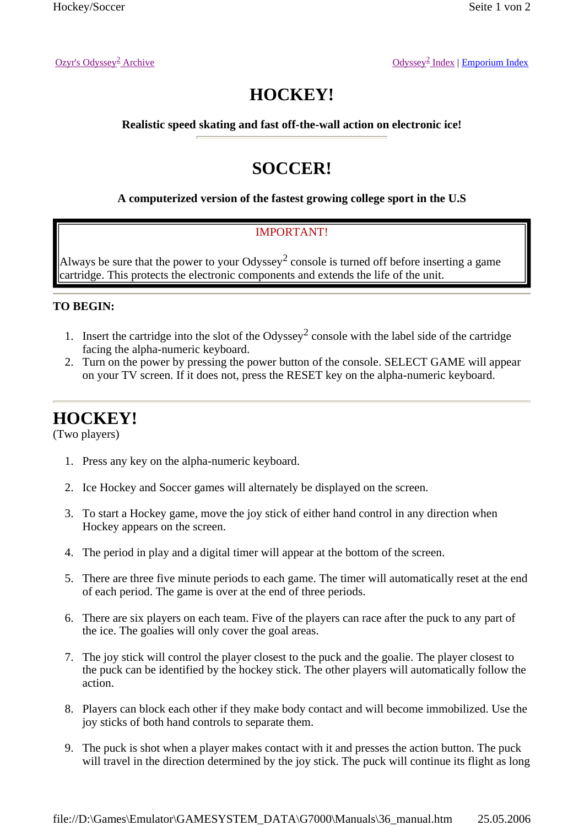Ozyr's Odyssey<sup>2</sup> Archive

# **HOCKEY!**

**Realistic speed skating and fast off-the-wall action on electronic ice!** 

## **SOCCER!**

### **A computerized version of the fastest growing college sport in the U.S**

### IMPORTANT!

Always be sure that the power to your Odyssey<sup>2</sup> console is turned off before inserting a game cartridge. This protects the electronic components and extends the life of the unit.

### **TO BEGIN:**

- 1. Insert the cartridge into the slot of the Odyssey<sup>2</sup> console with the label side of the cartridge facing the alpha-numeric keyboard.
- 2. Turn on the power by pressing the power button of the console. SELECT GAME will appear on your TV screen. If it does not, press the RESET key on the alpha-numeric keyboard.

## **HOCKEY!**

(Two players)

- 1. Press any key on the alpha-numeric keyboard.
- 2. Ice Hockey and Soccer games will alternately be displayed on the screen.
- 3. To start a Hockey game, move the joy stick of either hand control in any direction when Hockey appears on the screen.
- 4. The period in play and a digital timer will appear at the bottom of the screen.
- 5. There are three five minute periods to each game. The timer will automatically reset at the end of each period. The game is over at the end of three periods.
- 6. There are six players on each team. Five of the players can race after the puck to any part of the ice. The goalies will only cover the goal areas.
- 7. The joy stick will control the player closest to the puck and the goalie. The player closest to the puck can be identified by the hockey stick. The other players will automatically follow the action.
- 8. Players can block each other if they make body contact and will become immobilized. Use the joy sticks of both hand controls to separate them.
- 9. The puck is shot when a player makes contact with it and presses the action button. The puck will travel in the direction determined by the joy stick. The puck will continue its flight as long